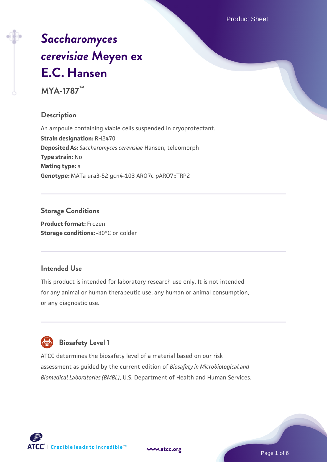Product Sheet

# *[Saccharomyces](https://www.atcc.org/products/mya-1787) [cerevisiae](https://www.atcc.org/products/mya-1787)* **[Meyen ex](https://www.atcc.org/products/mya-1787) [E.C. Hansen](https://www.atcc.org/products/mya-1787)**

**MYA-1787™**

#### **Description**

An ampoule containing viable cells suspended in cryoprotectant. **Strain designation:** RH2470 **Deposited As:** *Saccharomyces cerevisiae* Hansen, teleomorph **Type strain:** No **Mating type:** a **Genotype:** MATa ura3-52 gcn4-103 ARO7c pARO7::TRP2

# **Storage Conditions**

**Product format:** Frozen **Storage conditions: -80°C or colder** 

#### **Intended Use**

This product is intended for laboratory research use only. It is not intended for any animal or human therapeutic use, any human or animal consumption, or any diagnostic use.

# **Biosafety Level 1**

ATCC determines the biosafety level of a material based on our risk assessment as guided by the current edition of *Biosafety in Microbiological and Biomedical Laboratories (BMBL)*, U.S. Department of Health and Human Services.

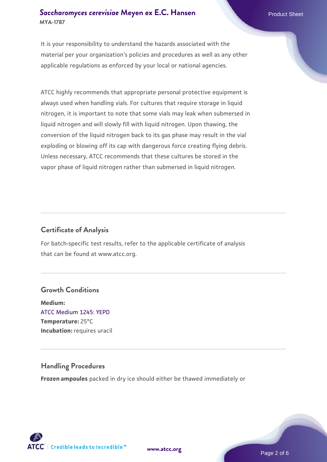#### **[Saccharomyces cerevisiae](https://www.atcc.org/products/mya-1787)** [Meyen ex E.C. Hansen](https://www.atcc.org/products/mya-1787) **MYA-1787**

It is your responsibility to understand the hazards associated with the material per your organization's policies and procedures as well as any other applicable regulations as enforced by your local or national agencies.

ATCC highly recommends that appropriate personal protective equipment is always used when handling vials. For cultures that require storage in liquid nitrogen, it is important to note that some vials may leak when submersed in liquid nitrogen and will slowly fill with liquid nitrogen. Upon thawing, the conversion of the liquid nitrogen back to its gas phase may result in the vial exploding or blowing off its cap with dangerous force creating flying debris. Unless necessary, ATCC recommends that these cultures be stored in the vapor phase of liquid nitrogen rather than submersed in liquid nitrogen.

#### **Certificate of Analysis**

For batch-specific test results, refer to the applicable certificate of analysis that can be found at www.atcc.org.

#### **Growth Conditions**

**Medium:**  [ATCC Medium 1245: YEPD](https://www.atcc.org/-/media/product-assets/documents/microbial-media-formulations/1/2/4/5/atcc-medium-1245.pdf?rev=705ca55d1b6f490a808a965d5c072196) **Temperature:** 25°C **Incubation:** requires uracil

#### **Handling Procedures**

**Frozen ampoules** packed in dry ice should either be thawed immediately or

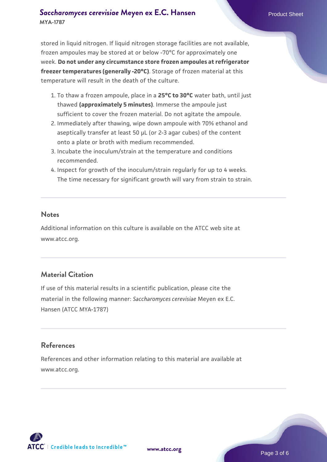#### **[Saccharomyces cerevisiae](https://www.atcc.org/products/mya-1787)** [Meyen ex E.C. Hansen](https://www.atcc.org/products/mya-1787) **MYA-1787**

stored in liquid nitrogen. If liquid nitrogen storage facilities are not available, frozen ampoules may be stored at or below -70°C for approximately one week. **Do not under any circumstance store frozen ampoules at refrigerator freezer temperatures (generally -20°C)**. Storage of frozen material at this temperature will result in the death of the culture.

- 1. To thaw a frozen ampoule, place in a **25°C to 30°C** water bath, until just thawed **(approximately 5 minutes)**. Immerse the ampoule just sufficient to cover the frozen material. Do not agitate the ampoule.
- 2. Immediately after thawing, wipe down ampoule with 70% ethanol and aseptically transfer at least 50 µL (or 2-3 agar cubes) of the content onto a plate or broth with medium recommended.
- 3. Incubate the inoculum/strain at the temperature and conditions recommended.
- 4. Inspect for growth of the inoculum/strain regularly for up to 4 weeks. The time necessary for significant growth will vary from strain to strain.

#### **Notes**

Additional information on this culture is available on the ATCC web site at www.atcc.org.

## **Material Citation**

If use of this material results in a scientific publication, please cite the material in the following manner: *Saccharomyces cerevisiae* Meyen ex E.C. Hansen (ATCC MYA-1787)

### **References**

References and other information relating to this material are available at www.atcc.org.

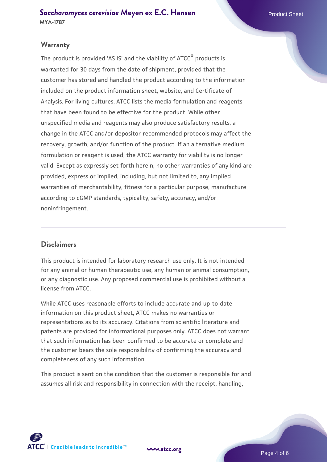#### **Warranty**

The product is provided 'AS IS' and the viability of ATCC® products is warranted for 30 days from the date of shipment, provided that the customer has stored and handled the product according to the information included on the product information sheet, website, and Certificate of Analysis. For living cultures, ATCC lists the media formulation and reagents that have been found to be effective for the product. While other unspecified media and reagents may also produce satisfactory results, a change in the ATCC and/or depositor-recommended protocols may affect the recovery, growth, and/or function of the product. If an alternative medium formulation or reagent is used, the ATCC warranty for viability is no longer valid. Except as expressly set forth herein, no other warranties of any kind are provided, express or implied, including, but not limited to, any implied warranties of merchantability, fitness for a particular purpose, manufacture according to cGMP standards, typicality, safety, accuracy, and/or noninfringement.

#### **Disclaimers**

This product is intended for laboratory research use only. It is not intended for any animal or human therapeutic use, any human or animal consumption, or any diagnostic use. Any proposed commercial use is prohibited without a license from ATCC.

While ATCC uses reasonable efforts to include accurate and up-to-date information on this product sheet, ATCC makes no warranties or representations as to its accuracy. Citations from scientific literature and patents are provided for informational purposes only. ATCC does not warrant that such information has been confirmed to be accurate or complete and the customer bears the sole responsibility of confirming the accuracy and completeness of any such information.

This product is sent on the condition that the customer is responsible for and assumes all risk and responsibility in connection with the receipt, handling,



**[www.atcc.org](http://www.atcc.org)**

Page 4 of 6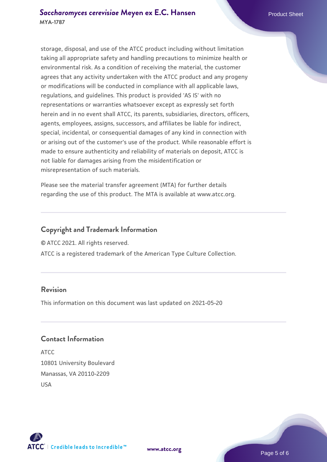storage, disposal, and use of the ATCC product including without limitation taking all appropriate safety and handling precautions to minimize health or environmental risk. As a condition of receiving the material, the customer agrees that any activity undertaken with the ATCC product and any progeny or modifications will be conducted in compliance with all applicable laws, regulations, and guidelines. This product is provided 'AS IS' with no representations or warranties whatsoever except as expressly set forth herein and in no event shall ATCC, its parents, subsidiaries, directors, officers, agents, employees, assigns, successors, and affiliates be liable for indirect, special, incidental, or consequential damages of any kind in connection with or arising out of the customer's use of the product. While reasonable effort is made to ensure authenticity and reliability of materials on deposit, ATCC is not liable for damages arising from the misidentification or misrepresentation of such materials.

Please see the material transfer agreement (MTA) for further details regarding the use of this product. The MTA is available at www.atcc.org.

#### **Copyright and Trademark Information**

© ATCC 2021. All rights reserved.

ATCC is a registered trademark of the American Type Culture Collection.

#### **Revision**

This information on this document was last updated on 2021-05-20

#### **Contact Information**

ATCC 10801 University Boulevard Manassas, VA 20110-2209 USA